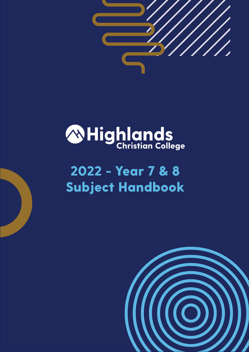

# *A***Highlands**

# 2022 - Year 7 & 8 Subject Handbook

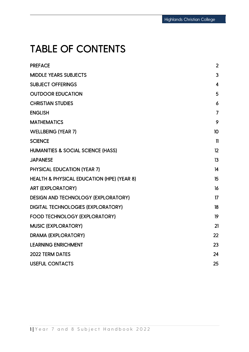### TABLE OF CONTENTS

| <b>PREFACE</b>                                        | $\overline{2}$ |
|-------------------------------------------------------|----------------|
| <b>MIDDLE YEARS SUBJECTS</b>                          | 3              |
| <b>SUBJECT OFFERINGS</b>                              | $\overline{4}$ |
| <b>OUTDOOR EDUCATION</b>                              | 5              |
| <b>CHRISTIAN STUDIES</b>                              | 6              |
| <b>ENGLISH</b>                                        | $\overline{7}$ |
| <b>MATHEMATICS</b>                                    | 9              |
| <b>WELLBEING (YEAR 7)</b>                             | 10             |
| <b>SCIENCE</b>                                        | $\mathbf{1}$   |
| HUMANITIES & SOCIAL SCIENCE (HASS)                    | 12             |
| <b>JAPANESE</b>                                       | 13             |
| <b>PHYSICAL EDUCATION (YEAR 7)</b>                    | 14             |
| <b>HEALTH &amp; PHYSICAL EDUCATION (HPE) (YEAR 8)</b> | 15             |
| <b>ART (EXPLORATORY)</b>                              | 16             |
| <b>DESIGN AND TECHNOLOGY (EXPLORATORY)</b>            | 17             |
| <b>DIGITAL TECHNOLOGIES (EXPLORATORY)</b>             | 18             |
| <b>FOOD TECHNOLOGY (EXPLORATORY)</b>                  | 19             |
| <b>MUSIC (EXPLORATORY)</b>                            | 21             |
| <b>DRAMA (EXPLORATORY)</b>                            | 22             |
| <b>LEARNING ENRICHMENT</b>                            | 23             |
| <b>2022 TERM DATES</b>                                | 24             |
| <b>USEFUL CONTACTS</b>                                | 25             |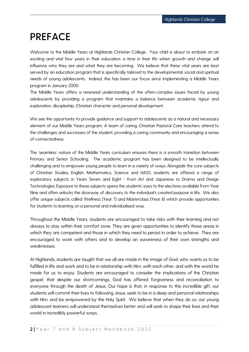### <span id="page-2-0"></span>**PREFACE**

Welcome to the Middle Years at Highlands Christian College. Your child is about to embark on an exciting and vital few years in their education; a time in their life when growth and change will influence who they are and what they are becoming. We believe that these vital years are best served by an education program that is specifically tailored to the developmental, social and spiritual needs of young adolescents. Indeed, this has been our focus since implementing a Middle Years program in January 2000.

The Middle Years offers a renewed understanding of the often-complex issues faced by young adolescents by providing a program that maintains a balance between academic rigour and exploration, discipleship, Christian character and personal development.

We see the opportunity to provide guidance and support to adolescents as a natural and necessary element of our Middle Years program. A team of caring, Christian Pastoral Care teachers attend to the challenges and successes of the student, providing a caring community and encouraging a sense of connectedness.

The 'seamless' nature of the Middle Years curriculum ensures there is a smooth transition between Primary and Senior Schooling. The academic program has been designed to be intellectually challenging and to empower young people to learn in a variety of ways. Alongside the core subjects of Christian Studies, English, Mathematics, Science and HASS, students are offered a range of exploratory subjects in Years Seven and Eight - from Art and Japanese to Drama and Design Technologies. Exposure to these subjects opens the students' eyes to the electives available from Year Nine and often unlocks the doorway of discovery to the individual's created purpose in life. We also offer unique subjects called Wellness (Year 7) and Masterclass (Year 8) which provide opportunities for students to learning on a personal and individualised way.

Throughout the Middle Years, students are encouraged to take risks with their learning and not always to stay within their comfort zone. They are given opportunities to identify those areas in which they are competent and those in which they need to persist in order to achieve. They are encouraged to work with others and to develop an awareness of their own strengths and weaknesses.

At Highlands, students are taught that we all are made in the image of God, who wants us to be fulfilled in life and work and to be in relationship with Him, with each other, and with the world he made for us to enjoy. Students are encouraged to consider the implications of the Christian gospel: that despite our shortcomings, God has offered forgiveness and reconciliation to everyone through the death of Jesus. Our hope is that, in response to this incredible gift, our students will commit their lives to following Jesus, seek to be in a deep and personal relationships with Him, and be empowered by the Holy Spirit. We believe that when they do so, our young adolescent learners will understand themselves better and will seek to shape their lives and their world in incredibly powerful ways.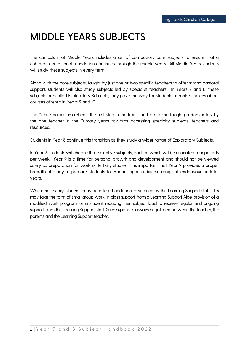### <span id="page-3-0"></span>**MIDDLE YEARS SUBJECTS**

The curriculum of Middle Years includes a set of compulsory core subjects to ensure that a coherent educational foundation continues through the middle years. All Middle Years students will study these subjects in every term.

Along with the core subjects, taught by just one or two specific teachers to offer strong pastoral support, students will also study subjects led by specialist teachers. In Years 7 and 8, these subjects are called Exploratory Subjects; they pave the way for students to make choices about courses offered in Years 9 and 10.

The Year 7 curriculum reflects the first step in the transition from being taught predominately by the one teacher in the Primary years towards accessing specialty subjects, teachers and resources.

Students in Year 8 continue this transition as they study a wider range of Exploratory Subjects.

In Year 9, students will choose three elective subjects, each of which will be allocated four periods per week. Year 9 is a time for personal growth and development and should not be viewed solely as preparation for work or tertiary studies. It is important that Year 9 provides a proper breadth of study to prepare students to embark upon a diverse range of endeavours in later years.

Where necessary, students may be offered additional assistance by the Learning Support staff. This may take the form of small group work, in-class support from a Learning Support Aide, provision of a modified work program, or a student reducing their subject load to receive regular and ongoing support from the Learning Support staff. Such support is always negotiated between the teacher, the parents and the Learning Support teacher.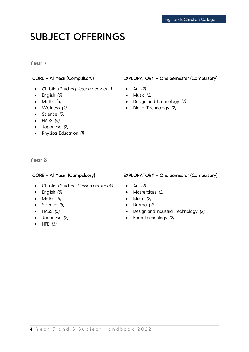### <span id="page-4-0"></span>**SUBJECT OFFERINGS**

#### Year 7

- Christian Studies *(1 lesson per week)*
- English *(6)*
- Maths *(6)*
- Wellness *(2)*
- Science *(5)*
- HASS *(5)*
- Japanese *(2)*
- Physical Education *(1)*

#### CORE – All Year (Compulsory) EXPLORATORY – One Semester (Compulsory)

- Art *(2)*
- Music *(2)*
- Design and Technology *(2)*
- Digital Technology *(2)*

Year 8

- Christian Studies *(1 lesson per week)*
- English *(5)*
- Maths *(5)*
- Science *(5)*
- HASS *(5)*
- Japanese *(2)*
- HPE *(3)*

#### CORE – All Year (Compulsory) EXPLORATORY – One Semester (Compulsory)

- Art *(2)*
- Masterclass *(2)*
- Music *(2)*
- Drama *(2)*
- Design and Industrial Technology *(2)*
- Food Technology *(2)*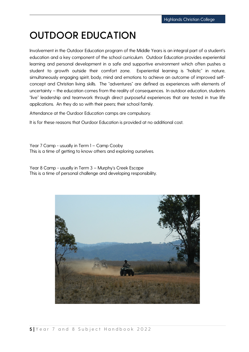### <span id="page-5-0"></span>**OUTDOOR EDUCATION**

Involvement in the Outdoor Education program of the Middle Years is an integral part of a student's education and a key component of the school curriculum. Outdoor Education provides experiential learning and personal development in a safe and supportive environment which often pushes a student to growth outside their comfort zone. Experiential learning is "holistic" in nature, simultaneously engaging spirit, body, mind and emotions to achieve an outcome of improved selfconcept and Christian living skills. The "adventures" are defined as experiences with elements of uncertainty – the education comes from the reality of consequences. In outdoor education, students "live" leadership and teamwork through direct purposeful experiences that are tested in true life applications. An they do so with their peers; their school family.

Attendance at the Ourdoor Education camps are compulsory.

It is for these reasons that Ourdoor Education is provided at no additional cost.

Year 7 Camp - usually in Term 1 – Camp Cooby This is a time of getting to know others and exploring ourselves.

Year 8 Camp - usually in Term 3 – Murphy's Creek Escape This is a time of personal challenge and developing responsibility.

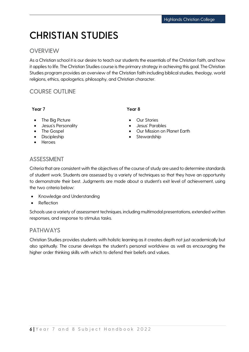### <span id="page-6-0"></span>**CHRISTIAN STUDIES**

#### **OVERVIEW**

As a Christian school it is our desire to teach our students the essentials of the Christian faith, and how it applies to life. The Christian Studies course is the primary strategy in achieving this goal. The Christian Studies program provides an overview of the Christian faith including biblical studies, theology, world religions, ethics, apologetics, philosophy, and Christian character.

### COURSE OUTLINE

#### Year 7

#### Year 8

- The Big Picture
- Jesus's Personality
- The Gospel
- Discipleship
- Heroes
- **Our Stories**
- Jesus' Parables
- Our Mission on Planet Earth
- Stewardship

#### ASSESSMENT

Criteria that are consistent with the objectives of the course of study are used to determine standards of student work. Students are assessed by a variety of techniques so that they have an opportunity to demonstrate their best. Judgments are made about a student's exit level of achievement, using the two criteria below:

- Knowledge and Understanding
- Reflection

Schools use a variety of assessment techniques, including multimodal presentations, extended written responses, and response to stimulus tasks.

#### PATHWAYS

Christian Studies provides students with holistic learning as it creates depth not just academically but also spiritually. The course develops the student's personal worldview as well as encouraging the higher order thinking skills with which to defend their beliefs and values.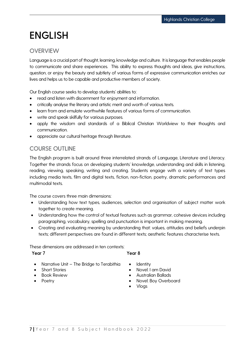### <span id="page-7-0"></span>**ENGLISH**

#### **OVERVIEW**

Language is a crucial part of thought, learning, knowledge and culture. It is language that enables people to communicate and share experiences. This ability to express thoughts and ideas, give instructions, question, or enjoy the beauty and subtlety of various forms of expressive communication enriches our lives and helps us to be capable and productive members of society.

Our English course seeks to develop students' abilities to:

- read and listen with discernment for enjoyment and information.
- critically analyse the literary and artistic merit and worth of various texts.
- learn from and emulate worthwhile features of various forms of communication.
- write and speak skilfully for various purposes.
- apply the wisdom and standards of a Biblical Christian Worldview to their thoughts and communication.
- appreciate our cultural heritage through literature.

#### COURSE OUTLINE

The English program is built around three interrelated strands of Language, Literature and Literacy. Together the strands focus on developing students' knowledge, understanding and skills in listening, reading, viewing, speaking, writing and creating. Students engage with a variety of text types including media texts, film and digital texts, fiction, non-fiction, poetry, dramatic performances and multimodal texts.

The course covers three main dimensions:

- Understanding how text types, audiences, selection and organisation of subject matter work together to create meaning.
- Understanding how the control of textual features such as grammar, cohesive devices including paragraphing, vocabulary, spelling and punctuation is important in making meaning.
- Creating and evaluating meaning by understanding that: values, attitudes and beliefs underpin texts; different perspectives are found in different texts; aesthetic features characterise texts.

These dimensions are addressed in ten contexts:

#### Year 7

#### Year 8

- Narrative Unit The Bridge to Terabithia
- Short Stories
- Book Review
- Poetry
- **Identity**
- Novel: I am David
- Australian Ballads
- Novel: Boy Overboard
- Vlogs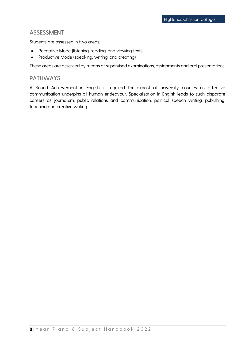#### ASSESSMENT

Students are assessed in two areas:

- Receptive Mode (listening, reading, and viewing texts)
- Productive Mode (speaking, writing, and creating)

These areas are assessed by means of supervised examinations, assignments and oral presentations.

#### PATHWAYS

A Sound Achievement in English is required for almost all university courses as effective communication underpins all human endeavour. Specialisation in English leads to such disparate careers as journalism, public relations and communication, political speech writing, publishing, teaching and creative writing.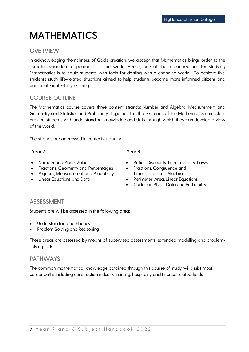### <span id="page-9-0"></span>**MATHEMATICS**

#### **OVERVIEW**

In acknowledging the richness of God's creation, we accept that Mathematics brings order to the sometimes-random appearance of the world. Hence, one of the major reasons for studying Mathematics is to equip students with tools for dealing with a changing world. To achieve this, students study life-related situations aimed to help students become more informed citizens and participate in life-long learning.

#### COURSE OUTLINE

The Mathematics course covers three content strands: Number and Algebra, Measurement and Geometry and Statistics and Probability. Together, the three strands of the Mathematics curriculum provide students with understanding, knowledge and skills through which they can develop a view of the world.

The strands are addressed in contexts including:

#### Year 7

- Number and Place Value
- Fractions, Geometry and Percentages
- Algebra, Measurement and Probability
- Linear Equations and Data

#### Year 8

- Ratios, Discounts, Integers, Index Laws
- Fractions, Congruence and Transformations, Algebra
- Perimeter, Area, Linear Equations
- Cartesian Plane, Data and Probability

#### ASSESSMENT

Students are will be assessed in the following areas:

- Understanding and Fluency
- Problem Solving and Reasoning

These areas are assessed by means of supervised assessments, extended modelling and problemsolving tasks.

#### PATHWAYS

The common mathematical knowledge obtained through this course of study will assist most career paths including construction industry, nursing, hospitality and finance related fields.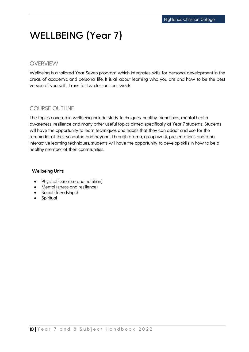### <span id="page-10-0"></span>**WELLBEING (Year 7)**

#### OVERVIEW

Wellbeing is a tailored Year Seven program which integrates skills for personal development in the areas of academic and personal life. It is all about learning who you are and how to be the best version of yourself. It runs for two lessons per week.

#### COURSE OUTLINE

The topics covered in wellbeing include study techniques, healthy friendships, mental health awareness, resilience and many other useful topics aimed specifically at Year 7 students. Students will have the opportunity to learn techniques and habits that they can adapt and use for the remainder of their schooling and beyond. Through drama, group work, presentations and other interactive learning techniques, students will have the opportunity to develop skills in how to be a healthy member of their communities.

#### Wellbeing Units

- Physical (exercise and nutrition)
- Mental (stress and resilience)
- Social (friendships)
- **Spiritual**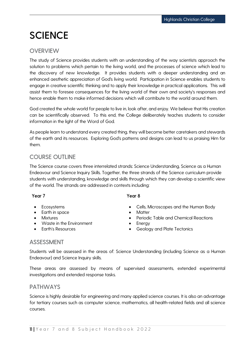### <span id="page-11-0"></span>**SCIENCE**

#### **OVERVIEW**

The study of Science provides students with an understanding of the way scientists approach the solution to problems which pertain to the living world, and the processes of science which lead to the discovery of new knowledge. It provides students with a deeper understanding and an enhanced aesthetic appreciation of God's living world. Participation in Science enables students to engage in creative scientific thinking and to apply their knowledge in practical applications. This will assist them to foresee consequences for the living world of their own and society's responses and hence enable them to make informed decisions which will contribute to the world around them.

God created the whole world for people to live in, look after, and enjoy. We believe that His creation can be scientifically observed. To this end, the College deliberately teaches students to consider information in the light of the Word of God.

As people learn to understand every created thing, they will become better caretakers and stewards of the earth and its resources. Exploring God's patterns and designs can lead to us praising Him for them.

#### COURSE OUTLINE

The Science course covers three interrelated strands: Science Understanding, Science as a Human Endeavour and Science Inquiry Skills. Together, the three strands of the Science curriculum provide students with understanding, knowledge and skills through which they can develop a scientific view of the world. The strands are addressed in contexts including:

#### Year 7

- Ecosystems
- Earth in space
- Mixtures
- Waste in the Environment
- Earth's Resources
- Year 8
- 
- Cells, Microscopes and the Human Body
- **Matter**
- Periodic Table and Chemical Reactions
- Energy
- Geology and Plate Tectonics

#### ASSESSMENT

Students will be assessed in the areas of: Science Understanding (including Science as a Human Endeavour) and Science Inquiry skills.

These areas are assessed by means of supervised assessments, extended experimental investigations and extended response tasks.

#### PATHWAYS

Science is highly desirable for engineering and many applied science courses. It is also an advantage for tertiary courses such as computer science, mathematics, all health-related fields and all science courses.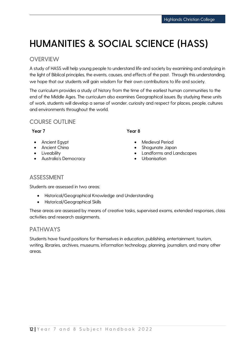### <span id="page-12-0"></span>**HUMANITIES & SOCIAL SCIENCE (HASS)**

#### **OVERVIEW**

A study of HASS will help young people to understand life and society by examining and analysing in the light of Biblical principles, the events, causes, and effects of the past. Through this understanding, we hope that our students will gain wisdom for their own contributions to life and society.

The curriculum provides a study of history from the time of the earliest human communities to the end of the Middle Ages. The curriculum also examines Geographical issues. By studying these units of work, students will develop a sense of wonder, curiosity and respect for places, people, cultures and environments throughout the world.

#### COURSE OUTLINE

#### Year 7

- Ancient Egypt
- **Ancient China**
- Liveability
- Australia's Democracy

#### Year 8

- Medieval Period
- Shogunate Japan
- Landforms and Landscapes
- **Urbanisation**

#### ASSESSMENT

Students are assessed in two areas:

- Historical/Geographical Knowledge and Understanding
- Historical/Geographical Skills

These areas are assessed by means of creative tasks, supervised exams, extended responses, class activities and research assignments.

#### PATHWAYS

Students have found positions for themselves in education, publishing, entertainment, tourism, writing, libraries, archives, museums, information technology, planning, journalism, and many other areas.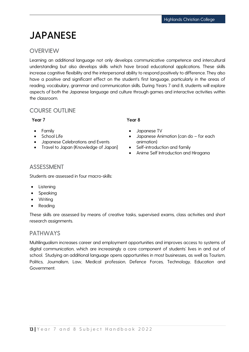### <span id="page-13-0"></span>**JAPANESE**

#### **OVERVIEW**

Learning an additional language not only develops communicative competence and intercultural understanding but also develops skills which have broad educational applications. These skills increase cognitive flexibility and the interpersonal ability to respond positively to difference. They also have a positive and significant effect on the student's first language, particularly in the areas of reading, vocabulary, grammar and communication skills. During Years 7 and 8, students will explore aspects of both the Japanese language and culture through games and interactive activities within the classroom.

#### COURSE OUTLINE

#### Year 7

- Family
- School Life
- Japanese Celebrations and Events
- Travel to Japan (Knowledge of Japan]

#### Year 8

- Japanese TV
- Japanese Animation (can do for each animation)
- Self-introduction and family
- Anime Self Introduction and Hiragana

#### ASSESSMENT

Students are assessed in four macro-skills:

- Listening
- Speaking
- Writing
- Reading

These skills are assessed by means of creative tasks, supervised exams, class activities and short research assignments.

#### PATHWAYS

Multilingualism increases career and employment opportunities and improves access to systems of digital communication, which are increasingly a core component of students' lives in and out of school. Studying an additional language opens opportunities in most businesses, as well as Tourism, Politics, Journalism, Law, Medical profession, Defence Forces, Technology, Education and Government.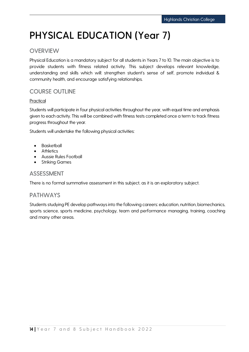# <span id="page-14-0"></span>**PHYSICAL EDUCATION (Year 7)**

#### **OVERVIEW**

Physical Education is a mandatory subject for all students in Years 7 to 10. The main objective is to provide students with fitness related activity. This subject develops relevant knowledge, understanding and skills which will: strengthen student's sense of self, promote individual & community health, and encourage satisfying relationships.

### COURSE OUTLINE

#### Practical

Students will participate in four physical activities throughout the year, with equal time and emphasis given to each activity. This will be combined with fitness tests completed once a term to track fitness progress throughout the year.

Students will undertake the following physical activities:

- **Basketball**
- **Athletics**
- Aussie Rules Football
- **Striking Games**

#### ASSESSMENT

There is no formal summative assessment in this subject, as it is an exploratory subject.

#### PATHWAYS

Students studying PE develop pathways into the following careers: education, nutrition, biomechanics, sports science, sports medicine, psychology, team and performance managing, training, coaching and many other areas.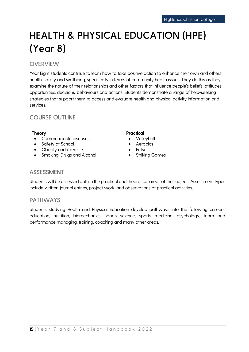# <span id="page-15-0"></span>**HEALTH & PHYSICAL EDUCATION (HPE) (Year 8)**

### **OVERVIEW**

Year Eight students continue to learn how to take positive action to enhance their own and others' health, safety and wellbeing, specifically in terms of community health issues. They do this as they examine the nature of their relationships and other factors that influence people's beliefs, attitudes, opportunities, decisions, behaviours and actions. Students demonstrate a range of help-seeking strategies that support them to access and evaluate health and physical activity information and services.

#### COURSE OUTLINE

- Communicable diseases
- Safety at School
- Obesity and exercise
- Smoking, Drugs and Alcohol

#### Theory **Practical**

- Volleyball
- **Aerobics**
- Futsal
- Striking Games

#### ASSESSMENT

Students will be assessed both in the practical and theoretical areas of the subject. Assessment types include written journal entries, project work, and observations of practical activities.

#### PATHWAYS

Students studying Health and Physical Education develop pathways into the following careers: education, nutrition, biomechanics, sports science, sports medicine, psychology, team and performance managing, training, coaching and many other areas.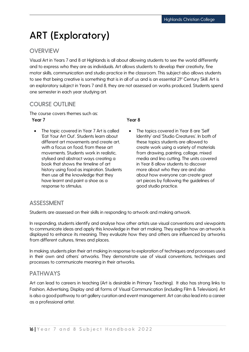### <span id="page-16-0"></span>**ART (Exploratory)**

#### **OVERVIEW**

Visual Art in Years 7 and 8 at Highlands is all about allowing students to see the world differently and to express who they are as individuals. Art allows students to develop their creativity, fine motor skills, communication and studio practice in the classroom. This subject also allows students to see that being creative is something that is in all of us and is an essential 2<sup>1st</sup> Century Skill. Art is an exploratory subject in Years 7 and 8, they are not assessed on works produced. Students spend one semester in each year studying art.

#### COURSE OUTLINE

The course covers themes such as:

#### Year 7

The topic covered in Year 7 Art is called 'Eat Your Art Out'. Students learn about different art movements and create art, with a focus on food, from these art movements. Students work in realistic, stylised and abstract ways creating a book that shows the timeline of art history using food as inspiration. Students then use all the knowledge that they have learnt and paint a shoe as a response to stimulus.

#### Year 8

The topics covered in Year 8 are 'Self Identity' and 'Studio Creatures'. In both of these topics students are allowed to create work using a variety of materials from drawing, painting, collage, mixed media and lino cutting. The units covered in Year 8 allow students to discover more about who they are and also about how everyone can create great art pieces by following the guidelines of good studio practice.

#### ASSESSMENT

Students are assessed on their skills in responding to artwork and making artwork.

In responding, students identify and analyse how other artists use visual conventions and viewpoints to communicate ideas and apply this knowledge in their art making. They explain how an artwork is displayed to enhance its meaning. They evaluate how they and others are influenced by artworks from different cultures, times and places.

In making, students plan their art making in response to exploration of techniques and processes used in their own and others' artworks. They demonstrate use of visual conventions, techniques and processes to communicate meaning in their artworks.

#### **PATHWAYS**

Art can lead to careers in teaching (Art is desirable in Primary Teaching). It also has strong links to Fashion, Advertising, Display and all forms of Visual Communication (including Film & Television). Art is also a good pathway to art gallery curation and event management. Art can also lead into a career as a professional artist.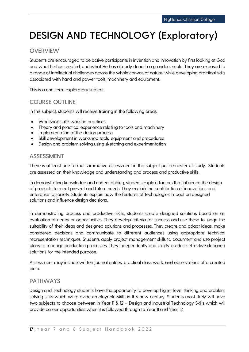# <span id="page-17-0"></span>**DESIGN AND TECHNOLOGY (Exploratory)**

### **OVERVIEW**

Students are encouraged to be active participants in invention and innovation by first looking at God and what he has created, and what He has already done in a grandeur scale. They are exposed to a range of intellectual challenges across the whole canvas of nature, while developing practical skills associated with hand and power tools, machinery and equipment.

This is a one-term exploratory subject.

#### COURSE OUTLINE

In this subject, students will receive training in the following areas:

- Workshop safe working practices
- Theory and practical experience relating to tools and machinery
- Implementation of the design process
- Skill development in workshop tools, equipment and procedures
- Design and problem solving using sketching and experimentation

#### ASSESSMENT

There is at least one formal summative assessment in this subject per semester of study. Students are assessed on their knowledge and understanding and process and productive skills.

In demonstrating knowledge and understanding, students explain factors that influence the design of products to meet present and future needs. They explain the contribution of innovations and enterprise to society. Students explain how the features of technologies impact on designed solutions and influence design decisions.

In demonstrating process and productive skills, students create designed solutions based on an evaluation of needs or opportunities. They develop criteria for success and use these to judge the suitability of their ideas and designed solutions and processes. They create and adapt ideas, make considered decisions and communicate to different audiences using appropriate technical representation techniques. Students apply project management skills to document and use project plans to manage production processes. They independently and safely produce effective designed solutions for the intended purpose.

Assessment may include written journal entries, practical class work, and observations of a created piece.

#### PATHWAYS

Design and Technology students have the opportunity to develop higher level thinking and problem solving skills which will provide employable skills in this new century. Students most likely will have two subjects to choose between in Year 11 & 12 – Design and Industrial Technology Skills which will provide career opportunities when it is followed through to Year 11 and Year 12.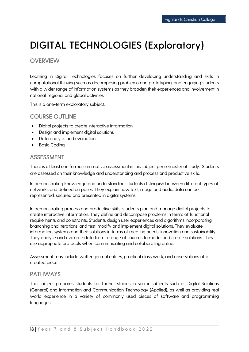### <span id="page-18-0"></span>**DIGITAL TECHNOLOGIES (Exploratory)**

#### **OVERVIEW**

Learning in Digital Technologies focuses on further developing understanding and skills in computational thinking such as decomposing problems and prototyping; and engaging students with a wider range of information systems as they broaden their experiences and involvement in national, regional and global activities.

This is a one-term exploratory subject.

#### COURSE OUTLINE

- Digital projects to create interactive information
- Design and implement digital solutions
- Data analysis and evaluation
- Basic Coding

#### ASSESSMENT

There is at least one formal summative assessment in this subject per semester of study. Students are assessed on their knowledge and understanding and process and productive skills.

In demonstrating knowledge and understanding, students distinguish between different types of networks and defined purposes. They explain how text, image and audio data can be represented, secured and presented in digital systems.

In demonstrating process and productive skills, students plan and manage digital projects to create interactive information. They define and decompose problems in terms of functional requirements and constraints. Students design user experiences and algorithms incorporating branching and iterations, and test, modify and implement digital solutions. They evaluate information systems and their solutions in terms of meeting needs, innovation and sustainability. They analyse and evaluate data from a range of sources to model and create solutions. They use appropriate protocols when communicating and collaborating online.

Assessment may include written journal entries, practical class work, and observations of a created piece.

#### PATHWAYS

This subject prepares students for further studies in senior subjects such as Digital Solutions (General) and Information and Communication Technology (Applied), as well as providing real world experience in a variety of commonly used pieces of software and programming languages.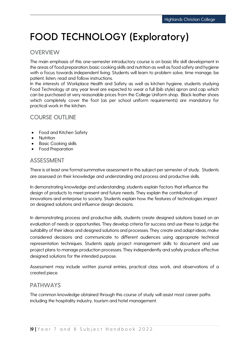### <span id="page-19-0"></span>**FOOD TECHNOLOGY (Exploratory)**

#### **OVERVIEW**

The main emphasis of this one-semester introductory course is on basic life skill development in the areas of food preparation, basic cooking skills and nutrition as well as food safety and hygiene with a focus towards independent living. Students will learn to problem solve, time manage, be patient, listen, read and follow instructions.

In the interests of Workplace Health and Safety as well as kitchen hygiene, students studying Food Technology at any year level are expected to wear a full (bib style) apron and cap which can be purchased at very reasonable prices from the College Uniform shop. Black leather shoes which completely cover the foot (as per school uniform requirements) are mandatory for practical work in the kitchen.

#### COURSE OUTLINE

- Food and Kitchen Safety
- Nutrition
- Basic Cooking skills
- Food Preparation

#### ASSESSMENT

There is at least one formal summative assessment in this subject per semester of study. Students are assessed on their knowledge and understanding and process and productive skills.

In demonstrating knowledge and understanding, students explain factors that influence the design of products to meet present and future needs. They explain the contribution of innovations and enterprise to society. Students explain how the features of technologies impact on designed solutions and influence design decisions.

In demonstrating process and productive skills, students create designed solutions based on an evaluation of needs or opportunities. They develop criteria for success and use these to judge the suitability of their ideas and designed solutions and processes. They create and adapt ideas, make considered decisions and communicate to different audiences using appropriate technical representation techniques. Students apply project management skills to document and use project plans to manage production processes. They independently and safely produce effective designed solutions for the intended purpose.

Assessment may include written journal entries, practical class work, and observations of a created piece.

#### PATHWAYS

The common knowledge obtained through this course of study will assist most career paths including the hospitality industry, tourism and hotel management.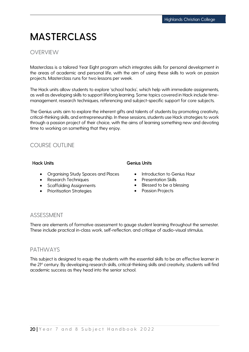### **MASTERCLASS**

#### **OVERVIEW**

Masterclass is a tailored Year Eight program which integrates skills for personal development in the areas of academic and personal life, with the aim of using these skills to work on passion projects. Masterclass runs for two lessons per week.

The Hack units allow students to explore 'school hacks', which help with immediate assignments, as well as developing skills to support lifelong learning. Some topics covered in Hack include timemanagement, research techniques, referencing and subject-specific support for core subjects.

The Genius units aim to explore the inherent gifts and talents of students by promoting creativity, critical-thinking skills, and entrepreneurship. In these sessions, students use Hack strategies to work through a passion project of their choice, with the aims of learning something new and devoting time to working on something that they enjoy.

#### COURSE OUTLINE

- Organising Study Spaces and Places
- Research Techniques
- Scaffolding Assignments
- Prioritisation Strategies

#### Hack Units Genius Units

- Introduction to Genius Hour
- Presentation Skills
- Blessed to be a blessing
- Passion Projects

#### ASSESSMENT

There are elements of formative assessment to gauge student learning throughout the semester. These include practical in-class work, self-reflection, and critique of audio-visual stimulus.

#### PATHWAYS

This subject is designed to equip the students with the essential skills to be an effective learner in the 21<sup>st</sup> century. By developing research skills, critical-thinking skills and creativity, students will find academic success as they head into the senior school.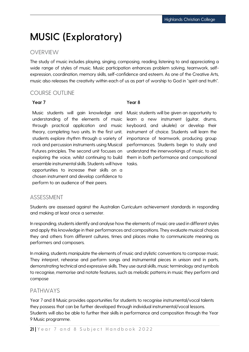### <span id="page-21-0"></span>**MUSIC (Exploratory)**

#### **OVERVIEW**

The study of music includes playing, singing, composing, reading, listening to and appreciating a wide range of styles of music. Music participation enhances problem solving, teamwork, selfexpression, coordination, memory skills, self-confidence and esteem. As one of the Creative Arts, music also releases the creativity within each of us as part of worship to God in "spirit and truth".

#### COURSE OUTLINE

#### Year 7 Year 8

Music students will gain knowledge and understanding of the elements of music through practical application and music theory, completing two units. In the first unit, students explore rhythm through a variety of rock and percussion instruments using Musical Futures principles. The second unit focuses on exploring the voice, whilst continuing to build ensemble instrumental skills. Students will have opportunities to increase their skills on a chosen instrument and develop confidence to perform to an audience of their peers.

Music students will be given an opportunity to learn a new instrument (guitar, drums, keyboard, and ukulele) or develop their instrument of choice. Students will learn the importance of teamwork, producing group performances. Students begin to study and understand the innerworkings of music, to aid them in both performance and compositional tasks.

#### ASSESSMENT

Students are assessed against the Australian Curriculum achievement standards in responding and making at least once a semester.

In responding, students identify and analyse how the elements of music are used in different styles and apply this knowledge in their performances and compositions. They evaluate musical choices they and others from different cultures, times and places make to communicate meaning as performers and composers.

In making, students manipulate the elements of music and stylistic conventions to compose music. They interpret, rehearse and perform songs and instrumental pieces in unison and in parts, demonstrating technical and expressive skills. They use aural skills, music terminology and symbols to recognise, memorise and notate features, such as melodic patterns in music they perform and compose

#### PATHWAYS

Year 7 and 8 Music provides opportunities for students to recognise instrumental/vocal talents they possess that can be further developed through individual instrumental/vocal lessons. Students will also be able to further their skills in performance and composition through the Year 9 Music programme.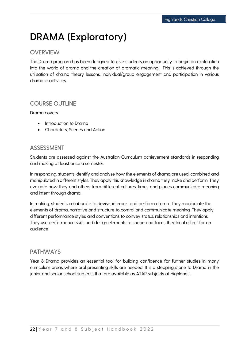### <span id="page-22-0"></span>**DRAMA (Exploratory)**

#### **OVERVIEW**

The Drama program has been designed to give students an opportunity to begin an exploration into the world of drama and the creation of dramatic meaning. This is achieved through the utilisation of drama theory lessons, individual/group engagement and participation in various dramatic activities.

#### COURSE OUTLINE

Drama covers:

- Introduction to Drama
- Characters, Scenes and Action

#### ASSESSMENT

Students are assessed against the Australian Curriculum achievement standards in responding and making at least once a semester.

In responding, students identify and analyse how the elements of drama are used, combined and manipulated in different styles. They apply this knowledge in drama they make and perform. They evaluate how they and others from different cultures, times and places communicate meaning and intent through drama.

In making, students collaborate to devise, interpret and perform drama. They manipulate the elements of drama, narrative and structure to control and communicate meaning. They apply different performance styles and conventions to convey status, relationships and intentions. They use performance skills and design elements to shape and focus theatrical effect for an audience

#### PATHWAYS

Year 8 Drama provides an essential tool for building confidence for further studies in many curriculum areas where oral presenting skills are needed. It is a stepping stone to Drama in the junior and senior school subjects that are available as ATAR subjects at Highlands.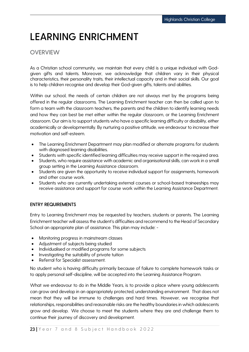# <span id="page-23-0"></span>**LEARNING ENRICHMENT**

#### **OVERVIEW**

As a Christian school community, we maintain that every child is a unique individual with Godgiven gifts and talents. Moreover, we acknowledge that children vary in their physical characteristics, their personality traits, their intellectual capacity and in their social skills. Our goal is to help children recognise and develop their God-given gifts, talents and abilities.

Within our school, the needs of certain children are not always met by the programs being offered in the regular classrooms. The Learning Enrichment teacher can then be called upon to form a team with the classroom teachers, the parents and the children to identify learning needs and how they can best be met either within the regular classroom, or the Learning Enrichment classroom. Our aim is to support students who have a specific learning difficulty or disability, either academically or developmentally. By nurturing a positive attitude, we endeavour to increase their motivation and self-esteem.

- The Learning Enrichment Department may plan modified or alternate programs for students with diagnosed learning disabilities.
- Students with specific identified learning difficulties may receive support in the required area.
- Students, who require assistance with academic and organisational skills, can work in a small group setting in the Learning Assistance classroom.
- Students are given the opportunity to receive individual support for assignments, homework and other course work.
- Students who are currently undertaking external courses or school-based traineeships may receive assistance and support for course work within the Learning Assistance Department.

#### ENTRY REQUIREMENTS

Entry to Learning Enrichment may be requested by teachers, students or parents. The Learning Enrichment teacher will assess the student's difficulties and recommend to the Head of Secondary School an appropriate plan of assistance. This plan may include: -

- Monitoring progress in mainstream classes
- Adjustment of subjects being studied
- Individualised or modified programs for some subjects
- Investigating the suitability of private tuition
- Referral for Specialist assessment.

No student who is having difficulty primarily because of failure to complete homework tasks or to apply personal self-discipline, will be accepted into the Learning Assistance Program.

What we endeavour to do in the Middle Years, is to provide a place where young adolescents can grow and develop in an appropriately protected, understanding environment. That does not mean that they will be immune to challenges and hard times. However, we recognise that relationships, responsibilities and reasonable risks are the healthy boundaries in which adolescents grow and develop. We choose to meet the students where they are and challenge them to continue their journey of discovery and development.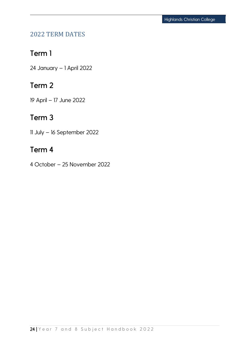### <span id="page-24-0"></span>2022 TERM DATES

### Term 1

24 January – 1 April 2022

### Term 2

19 April – 17 June 2022

### Term 3

11 July – 16 September 2022

### Term 4

4 October – 25 November 2022